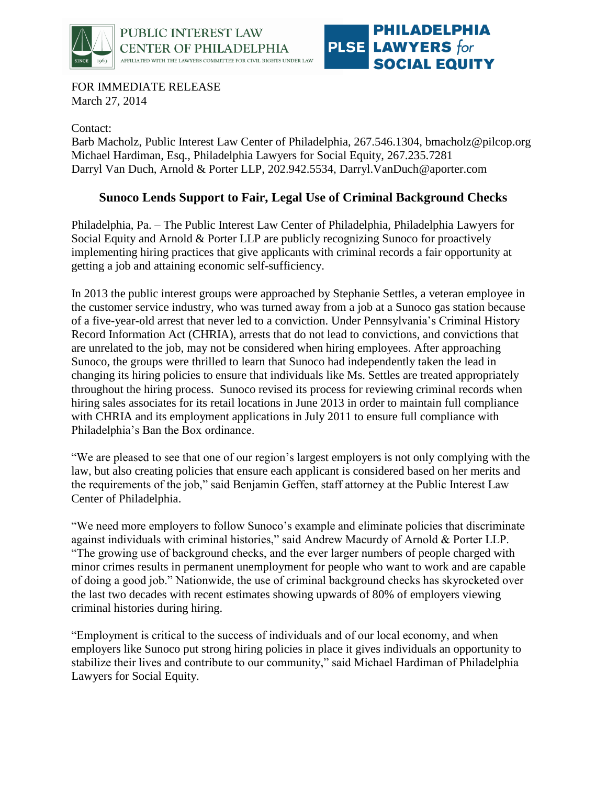



FOR IMMEDIATE RELEASE March 27, 2014

Contact:

Barb Macholz, Public Interest Law Center of Philadelphia, 267.546.1304, bmacholz@pilcop.org Michael Hardiman, Esq., Philadelphia Lawyers for Social Equity, 267.235.7281 Darryl Van Duch, Arnold & Porter LLP, 202.942.5534, Darryl.VanDuch@aporter.com

## **Sunoco Lends Support to Fair, Legal Use of Criminal Background Checks**

Philadelphia, Pa. – The Public Interest Law Center of Philadelphia, Philadelphia Lawyers for Social Equity and Arnold & Porter LLP are publicly recognizing Sunoco for proactively implementing hiring practices that give applicants with criminal records a fair opportunity at getting a job and attaining economic self-sufficiency.

In 2013 the public interest groups were approached by Stephanie Settles, a veteran employee in the customer service industry, who was turned away from a job at a Sunoco gas station because of a five-year-old arrest that never led to a conviction. Under Pennsylvania's Criminal History Record Information Act (CHRIA), arrests that do not lead to convictions, and convictions that are unrelated to the job, may not be considered when hiring employees. After approaching Sunoco, the groups were thrilled to learn that Sunoco had independently taken the lead in changing its hiring policies to ensure that individuals like Ms. Settles are treated appropriately throughout the hiring process. Sunoco revised its process for reviewing criminal records when hiring sales associates for its retail locations in June 2013 in order to maintain full compliance with CHRIA and its employment applications in July 2011 to ensure full compliance with Philadelphia's Ban the Box ordinance.

"We are pleased to see that one of our region's largest employers is not only complying with the law, but also creating policies that ensure each applicant is considered based on her merits and the requirements of the job," said Benjamin Geffen, staff attorney at the Public Interest Law Center of Philadelphia.

"We need more employers to follow Sunoco's example and eliminate policies that discriminate against individuals with criminal histories," said Andrew Macurdy of Arnold & Porter LLP. "The growing use of background checks, and the ever larger numbers of people charged with minor crimes results in permanent unemployment for people who want to work and are capable of doing a good job." Nationwide, the use of criminal background checks has skyrocketed over the last two decades with recent estimates showing upwards of 80% of employers viewing criminal histories during hiring.

"Employment is critical to the success of individuals and of our local economy, and when employers like Sunoco put strong hiring policies in place it gives individuals an opportunity to stabilize their lives and contribute to our community," said Michael Hardiman of Philadelphia Lawyers for Social Equity.